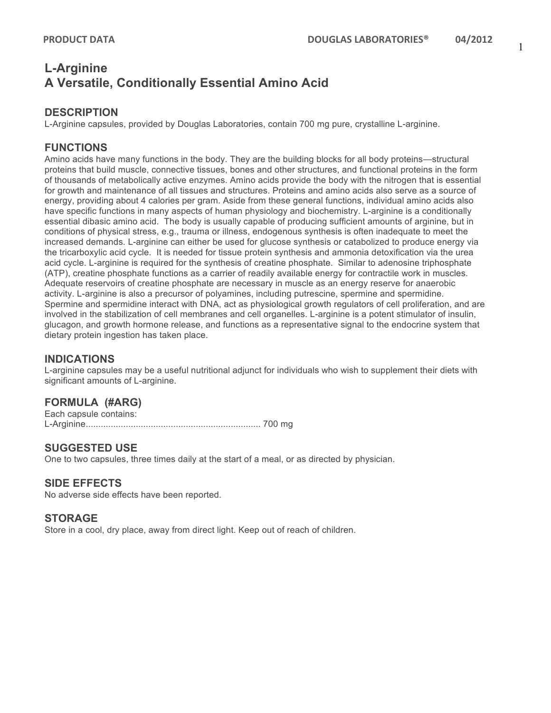# **L-Arginine A Versatile, Conditionally Essential Amino Acid**

# **DESCRIPTION**

L-Arginine capsules, provided by Douglas Laboratories, contain 700 mg pure, crystalline L-arginine.

## **FUNCTIONS**

Amino acids have many functions in the body. They are the building blocks for all body proteins—structural proteins that build muscle, connective tissues, bones and other structures, and functional proteins in the form of thousands of metabolically active enzymes. Amino acids provide the body with the nitrogen that is essential for growth and maintenance of all tissues and structures. Proteins and amino acids also serve as a source of energy, providing about 4 calories per gram. Aside from these general functions, individual amino acids also have specific functions in many aspects of human physiology and biochemistry. L-arginine is a conditionally essential dibasic amino acid. The body is usually capable of producing sufficient amounts of arginine, but in conditions of physical stress, e.g., trauma or illness, endogenous synthesis is often inadequate to meet the increased demands. L-arginine can either be used for glucose synthesis or catabolized to produce energy via the tricarboxylic acid cycle. It is needed for tissue protein synthesis and ammonia detoxification via the urea acid cycle. L-arginine is required for the synthesis of creatine phosphate. Similar to adenosine triphosphate (ATP), creatine phosphate functions as a carrier of readily available energy for contractile work in muscles. Adequate reservoirs of creatine phosphate are necessary in muscle as an energy reserve for anaerobic activity. L-arginine is also a precursor of polyamines, including putrescine, spermine and spermidine. Spermine and spermidine interact with DNA, act as physiological growth regulators of cell proliferation, and are involved in the stabilization of cell membranes and cell organelles. L-arginine is a potent stimulator of insulin, glucagon, and growth hormone release, and functions as a representative signal to the endocrine system that dietary protein ingestion has taken place.

### **INDICATIONS**

L-arginine capsules may be a useful nutritional adjunct for individuals who wish to supplement their diets with significant amounts of L-arginine.

# **FORMULA (#ARG)**

Each capsule contains: L-Arginine...................................................................... 700 mg

### **SUGGESTED USE**

One to two capsules, three times daily at the start of a meal, or as directed by physician.

### **SIDE EFFECTS**

No adverse side effects have been reported.

#### **STORAGE**

Store in a cool, dry place, away from direct light. Keep out of reach of children.